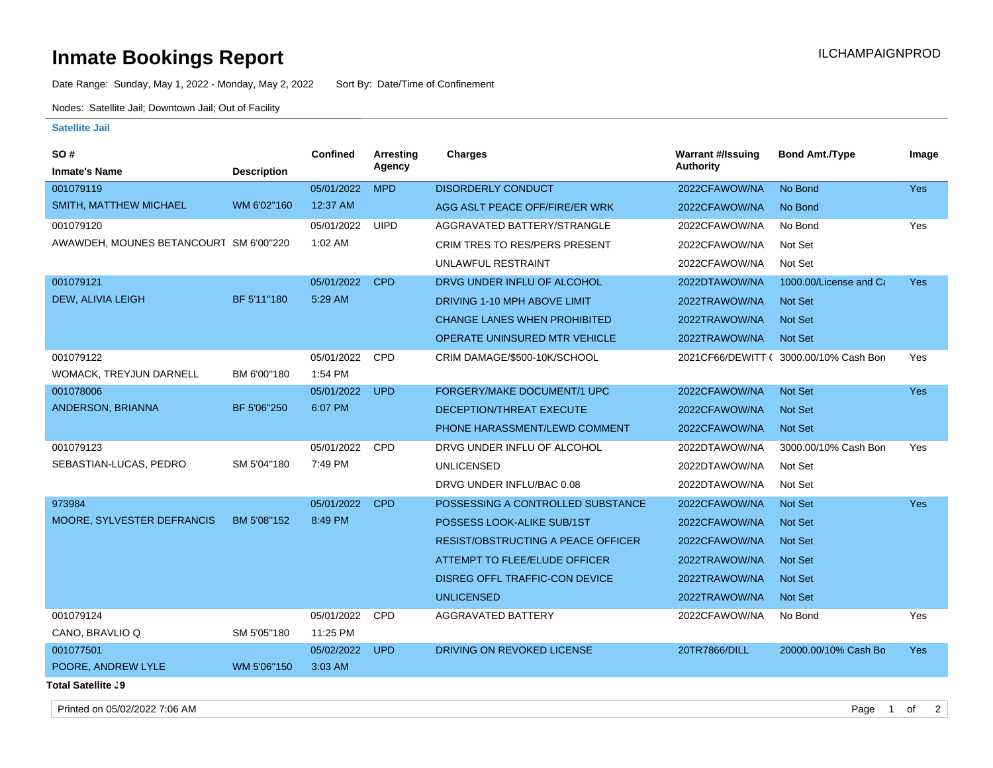## **Inmate Bookings Report Installation ILCHAMPAIGNPROD**

Date Range: Sunday, May 1, 2022 - Monday, May 2, 2022 Sort By: Date/Time of Confinement

Nodes: Satellite Jail; Downtown Jail; Out of Facility

## **Satellite Jail**

| <b>SO#</b>                             |                    | Confined   | Arresting   | <b>Charges</b>                            | <b>Warrant #/Issuing</b> | <b>Bond Amt./Type</b>  | Image      |
|----------------------------------------|--------------------|------------|-------------|-------------------------------------------|--------------------------|------------------------|------------|
| <b>Inmate's Name</b>                   | <b>Description</b> |            | Agency      |                                           | Authority                |                        |            |
| 001079119                              |                    | 05/01/2022 | <b>MPD</b>  | <b>DISORDERLY CONDUCT</b>                 | 2022CFAWOW/NA            | No Bond                | <b>Yes</b> |
| SMITH, MATTHEW MICHAEL                 | WM 6'02"160        | 12:37 AM   |             | AGG ASLT PEACE OFF/FIRE/ER WRK            | 2022CFAWOW/NA            | No Bond                |            |
| 001079120                              |                    | 05/01/2022 | <b>UIPD</b> | AGGRAVATED BATTERY/STRANGLE               | 2022CFAWOW/NA            | No Bond                | Yes        |
| AWAWDEH, MOUNES BETANCOURT SM 6'00"220 |                    | 1:02 AM    |             | <b>CRIM TRES TO RES/PERS PRESENT</b>      | 2022CFAWOW/NA            | Not Set                |            |
|                                        |                    |            |             | UNLAWFUL RESTRAINT                        | 2022CFAWOW/NA            | Not Set                |            |
| 001079121                              |                    | 05/01/2022 | <b>CPD</b>  | DRVG UNDER INFLU OF ALCOHOL               | 2022DTAWOW/NA            | 1000.00/License and Ca | <b>Yes</b> |
| <b>DEW, ALIVIA LEIGH</b>               | BF 5'11"180        | 5:29 AM    |             | DRIVING 1-10 MPH ABOVE LIMIT              | 2022TRAWOW/NA            | <b>Not Set</b>         |            |
|                                        |                    |            |             | <b>CHANGE LANES WHEN PROHIBITED</b>       | 2022TRAWOW/NA            | <b>Not Set</b>         |            |
|                                        |                    |            |             | <b>OPERATE UNINSURED MTR VEHICLE</b>      | 2022TRAWOW/NA            | <b>Not Set</b>         |            |
| 001079122                              |                    | 05/01/2022 | CPD         | CRIM DAMAGE/\$500-10K/SCHOOL              | 2021CF66/DEWITT (        | 3000.00/10% Cash Bon   | Yes        |
| <b>WOMACK, TREYJUN DARNELL</b>         | BM 6'00"180        | 1:54 PM    |             |                                           |                          |                        |            |
| 001078006                              |                    | 05/01/2022 | <b>UPD</b>  | FORGERY/MAKE DOCUMENT/1 UPC               | 2022CFAWOW/NA            | <b>Not Set</b>         | Yes        |
| ANDERSON, BRIANNA                      | BF 5'06"250        | 6:07 PM    |             | DECEPTION/THREAT EXECUTE                  | 2022CFAWOW/NA            | <b>Not Set</b>         |            |
|                                        |                    |            |             | PHONE HARASSMENT/LEWD COMMENT             | 2022CFAWOW/NA            | <b>Not Set</b>         |            |
| 001079123                              |                    | 05/01/2022 | <b>CPD</b>  | DRVG UNDER INFLU OF ALCOHOL               | 2022DTAWOW/NA            | 3000.00/10% Cash Bon   | Yes        |
| SEBASTIAN-LUCAS, PEDRO                 | SM 5'04"180        | 7:49 PM    |             | <b>UNLICENSED</b>                         | 2022DTAWOW/NA            | Not Set                |            |
|                                        |                    |            |             | DRVG UNDER INFLU/BAC 0.08                 | 2022DTAWOW/NA            | Not Set                |            |
| 973984                                 |                    | 05/01/2022 | <b>CPD</b>  | POSSESSING A CONTROLLED SUBSTANCE         | 2022CFAWOW/NA            | <b>Not Set</b>         | <b>Yes</b> |
| MOORE, SYLVESTER DEFRANCIS             | BM 5'08"152        | 8:49 PM    |             | POSSESS LOOK-ALIKE SUB/1ST                | 2022CFAWOW/NA            | <b>Not Set</b>         |            |
|                                        |                    |            |             | <b>RESIST/OBSTRUCTING A PEACE OFFICER</b> | 2022CFAWOW/NA            | Not Set                |            |
|                                        |                    |            |             | <b>ATTEMPT TO FLEE/ELUDE OFFICER</b>      | 2022TRAWOW/NA            | <b>Not Set</b>         |            |
|                                        |                    |            |             | DISREG OFFL TRAFFIC-CON DEVICE            | 2022TRAWOW/NA            | <b>Not Set</b>         |            |
|                                        |                    |            |             | <b>UNLICENSED</b>                         | 2022TRAWOW/NA            | <b>Not Set</b>         |            |
| 001079124                              |                    | 05/01/2022 | <b>CPD</b>  | <b>AGGRAVATED BATTERY</b>                 | 2022CFAWOW/NA            | No Bond                | Yes        |
| CANO, BRAVLIO Q                        | SM 5'05"180        | 11:25 PM   |             |                                           |                          |                        |            |
| 001077501                              |                    | 05/02/2022 | <b>UPD</b>  | DRIVING ON REVOKED LICENSE                | 20TR7866/DILL            | 20000.00/10% Cash Bo   | Yes        |
| POORE, ANDREW LYLE                     | WM 5'06"150        | 3:03 AM    |             |                                           |                          |                        |            |
| Total Satellite . 9                    |                    |            |             |                                           |                          |                        |            |

Printed on 05/02/2022 7:06 AM Page 1 of 2